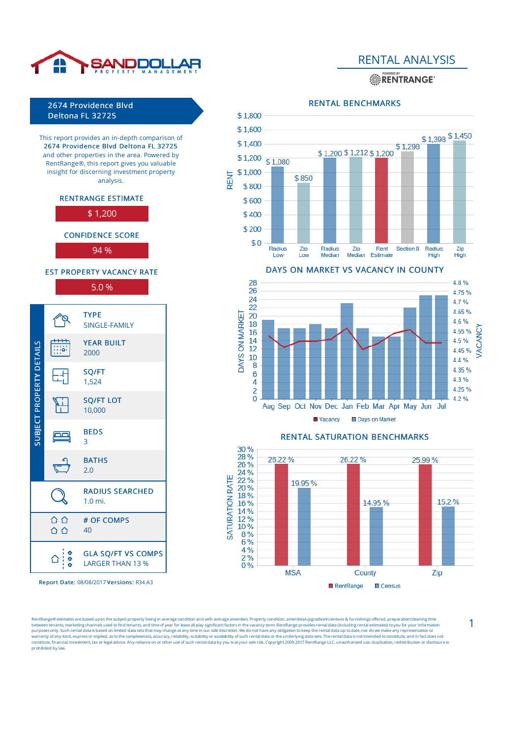

**ENTRANGE** 



This report provides an in-depth comparison of 2674 Providence Blvd Deltona FL 32725 and other properties in the area. Powered by RentRange®, this report gives you valuable insight for discerning investment property analysis.





CONFIDENCE SCORE

94 %

EST PROPERTY VACANCY RATE 5.0 %



Report Date: 08/08/2017 Versions: R34.A3

RENTAL BENCHMARKS



DAYS ON MARKET VS VACANCY IN COUNTY 28 4.8% 26 4.75% 24 4.7% 22 4.65% 20 4.6% 18 4.55% 16  $4.5%$ 14



1

*JACANCY* 

4.45%

4.4%

4.35%

4.3%

4.25%

4.2%

entRange® estimates are based upon the subject property being in average condition and with average amenities. Property condition, amenities/upgrades/incentives & furnishings offered, preparation/cleaning tin between tenants, marketing channels used to find tenants, and time of year for lease all play significant factors in the vacancy term. RentRange provides rental data (including rental estimates) to you for your information prohibited by law.

DAYS ON MARKET

12

10

8

 $6\phantom{a}$ 

4

 $\overline{2}$  $\overline{0}$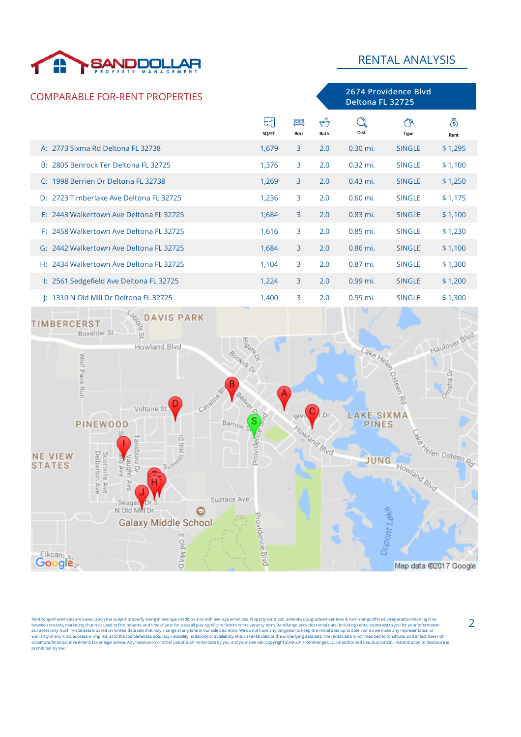

2674 Providence Blvd

### COMPARABLE FOR-RENT PROPERTIES



entRange® estimates are based upon the subject property being in average condition and with average amenities. Property condition, amenities/upgrades/incentives & furnishings offered, preparation/cleaning tin between tenants, marketing channels used to find tenants, and time of year for lease all play significant factors in the vacancy term. RentRange provides rental data (including rental estimates) to you for your information prohibited by law.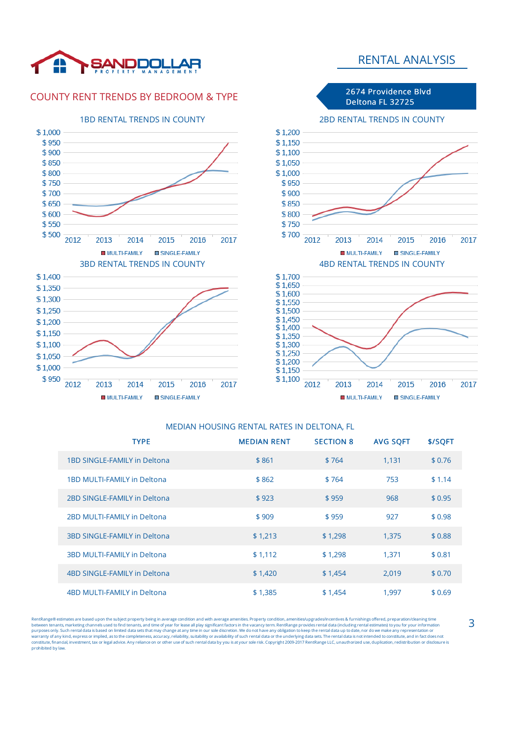

### COUNTY RENT TRENDS BY BEDROOM & TYPE







MULTI-FAMILY SINGLE-FAMILY

# MEDIAN HOUSING RENTAL RATES IN DELTONA, FL

| <b>TYPE</b>                         | <b>MEDIAN RENT</b> | <b>SECTION 8</b> | <b>AVG SOFT</b> | \$/SQFT |
|-------------------------------------|--------------------|------------------|-----------------|---------|
| 1BD SINGLE-FAMILY in Deltona        | \$861              | \$764            | 1,131           | \$0.76  |
| 1BD MULTI-FAMILY in Deltona         | \$862              | \$764            | 753             | \$1.14  |
| 2BD SINGLE-FAMILY in Deltona        | \$923              | \$959            | 968             | \$0.95  |
| 2BD MULTI-FAMILY in Deltona         | \$909              | \$959            | 927             | \$0.98  |
| <b>3BD SINGLE-FAMILY in Deltona</b> | \$1,213            | \$1,298          | 1,375           | \$0.88  |
| <b>3BD MULTI-FAMILY in Deltona</b>  | \$1,112            | \$1,298          | 1,371           | \$0.81  |
| 4BD SINGLE-FAMILY in Deltona        | \$1,420            | \$1,454          | 2,019           | \$0.70  |
| 4BD MULTI-FAMILY in Deltona         | \$1,385            | \$1,454          | 1.997           | \$0.69  |

entRange® estimates are based upon the subject property being in average condition and with average amenities. Property condition, amenities/upgrades/incentives & furnishings offered, preparation/cleaning time between tenants, marketing channels used to find tenants, and time of year for lease all play significant factors in the vacancy term. RentRange provides rental data (including rental estimates) to you for your information prohibited by law.

## RENTAL ANALYSIS

2674 Providence Blvd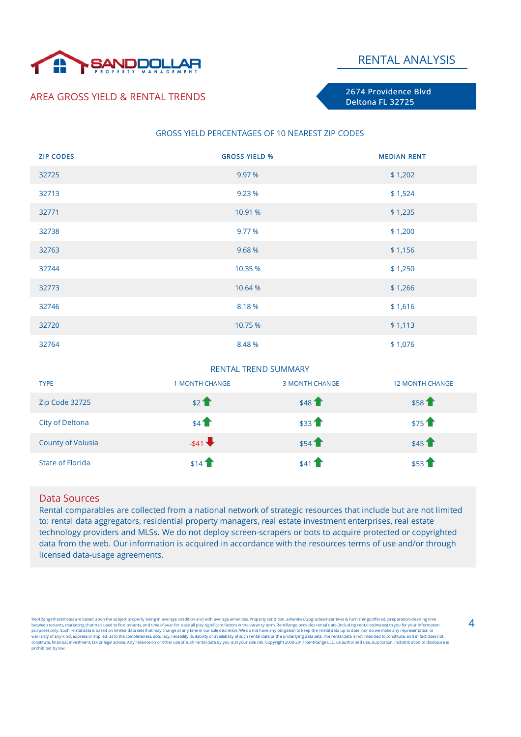

### AREA GROSS YIELD & RENTAL TRENDS

2674 Providence Blvd Deltona FL 32725

#### GROSS YIELD PERCENTAGES OF 10 NEAREST ZIP CODES

| <b>ZIP CODES</b> | <b>GROSS YIELD %</b> | <b>MEDIAN RENT</b> |
|------------------|----------------------|--------------------|
| 32725            | 9.97 %               | \$1,202            |
| 32713            | 9.23 %               | \$1,524            |
| 32771            | 10.91 %              | \$1,235            |
| 32738            | 9.77 %               | \$1,200            |
| 32763            | 9.68 %               | \$1,156            |
| 32744            | 10.35 %              | \$1,250            |
| 32773            | 10.64 %              | \$1,266            |
| 32746            | 8.18%                | \$1,616            |
| 32720            | 10.75 %              | \$1,113            |
| 32764            | 8.48%                | \$1,076            |

#### RENTAL TREND SUMMARY

| <b>TYPE</b>              | <b>1 MONTH CHANGE</b> | <b>3 MONTH CHANGE</b> | <b>12 MONTH CHANGE</b> |
|--------------------------|-----------------------|-----------------------|------------------------|
| Zip Code 32725           | \$21                  | \$48 <sup>2</sup>     | \$58                   |
| City of Deltona          | \$41                  | \$33                  | \$751                  |
| <b>County of Volusia</b> | $-541$                | \$54                  | $$45$ <sup>1</sup>     |
| State of Florida         | \$14                  | \$41                  | \$53                   |

#### Data Sources

Rental comparables are collected from a national network of strategic resources that include but are not limited to: rental data aggregators, residential property managers, real estate investment enterprises, real estate technology providers and MLSs. We do not deploy screen-scrapers or bots to acquire protected or copyrighted data from the web. Our information is acquired in accordance with the resources terms of use and/or through licensed data-usage agreements.

entRange® estimates are based upon the subject property being in average condition and with average amenities. Property condition, amenities/upgrades/incentives & furnishings offered, preparation/cleaning tim between tenants, marketing channels used to find tenants, and time of year for lease all play significant factors in the vacancy term. RentRange provides rental data (including rental estimates) to you for your information prohibited by law.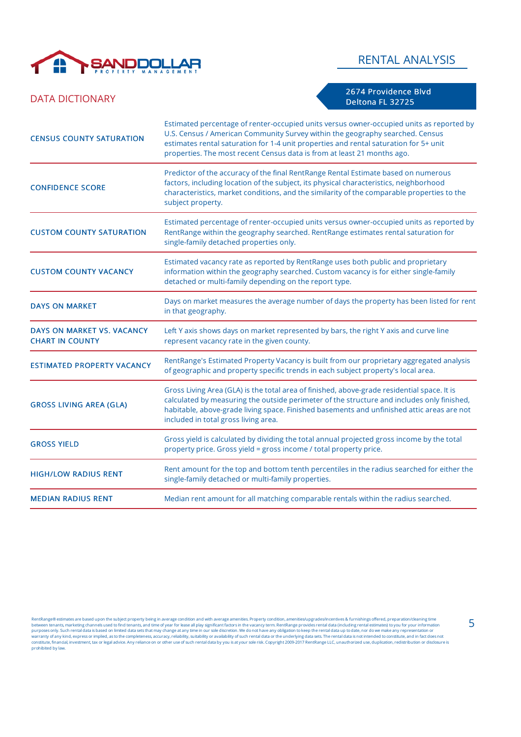

### DATA DICTIONARY

2674 Providence Blvd Deltona FL 32725

| <b>CENSUS COUNTY SATURATION</b>                      | Estimated percentage of renter-occupied units versus owner-occupied units as reported by<br>U.S. Census / American Community Survey within the geography searched. Census<br>estimates rental saturation for 1-4 unit properties and rental saturation for 5+ unit<br>properties. The most recent Census data is from at least 21 months ago. |
|------------------------------------------------------|-----------------------------------------------------------------------------------------------------------------------------------------------------------------------------------------------------------------------------------------------------------------------------------------------------------------------------------------------|
| <b>CONFIDENCE SCORE</b>                              | Predictor of the accuracy of the final RentRange Rental Estimate based on numerous<br>factors, including location of the subject, its physical characteristics, neighborhood<br>characteristics, market conditions, and the similarity of the comparable properties to the<br>subject property.                                               |
| <b>CUSTOM COUNTY SATURATION</b>                      | Estimated percentage of renter-occupied units versus owner-occupied units as reported by<br>RentRange within the geography searched. RentRange estimates rental saturation for<br>single-family detached properties only.                                                                                                                     |
| <b>CUSTOM COUNTY VACANCY</b>                         | Estimated vacancy rate as reported by RentRange uses both public and proprietary<br>information within the geography searched. Custom vacancy is for either single-family<br>detached or multi-family depending on the report type.                                                                                                           |
| <b>DAYS ON MARKET</b>                                | Days on market measures the average number of days the property has been listed for rent<br>in that geography.                                                                                                                                                                                                                                |
| DAYS ON MARKET VS. VACANCY<br><b>CHART IN COUNTY</b> | Left Y axis shows days on market represented by bars, the right Y axis and curve line<br>represent vacancy rate in the given county.                                                                                                                                                                                                          |
| <b>ESTIMATED PROPERTY VACANCY</b>                    | RentRange's Estimated Property Vacancy is built from our proprietary aggregated analysis<br>of geographic and property specific trends in each subject property's local area.                                                                                                                                                                 |
| <b>GROSS LIVING AREA (GLA)</b>                       | Gross Living Area (GLA) is the total area of finished, above-grade residential space. It is<br>calculated by measuring the outside perimeter of the structure and includes only finished,<br>habitable, above-grade living space. Finished basements and unfinished attic areas are not<br>included in total gross living area.               |
| <b>GROSS YIELD</b>                                   | Gross yield is calculated by dividing the total annual projected gross income by the total<br>property price. Gross yield = gross income / total property price.                                                                                                                                                                              |
| <b>HIGH/LOW RADIUS RENT</b>                          | Rent amount for the top and bottom tenth percentiles in the radius searched for either the<br>single-family detached or multi-family properties.                                                                                                                                                                                              |
| <b>MEDIAN RADIUS RENT</b>                            | Median rent amount for all matching comparable rentals within the radius searched.                                                                                                                                                                                                                                                            |

RentRange® estimates are based upon the subject property being in average condition and with average amentities. Property condition, amentities/upgrades/incentual states including rental estimates) to you for you informati prohibited by law.